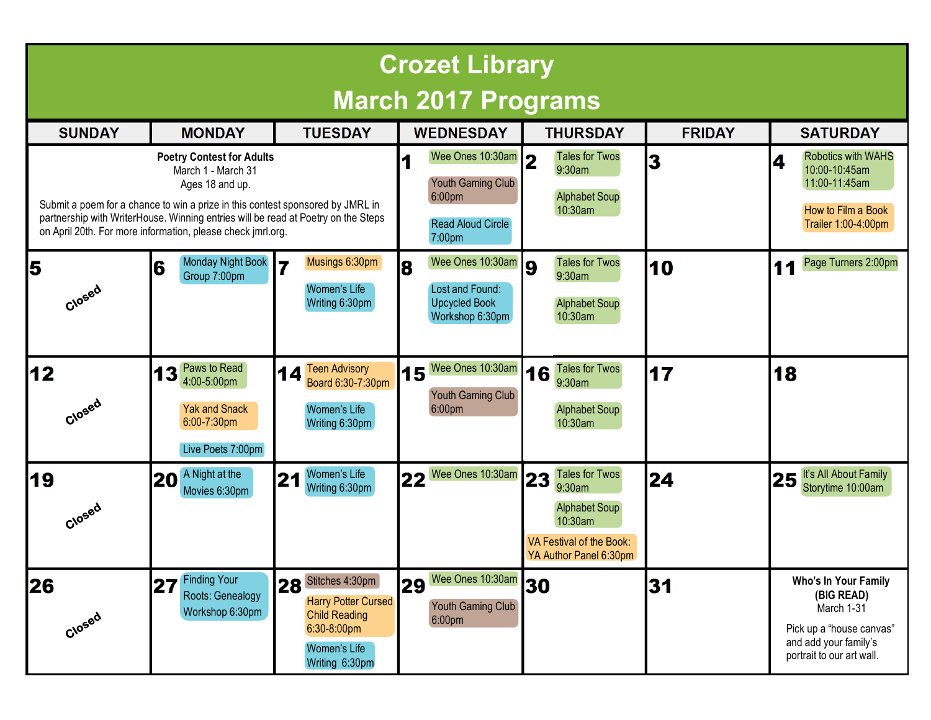| <b>Crozet Library</b>                                                                                                                                                                                                                                                                                           |                                                                                              |                                                                                                                           |                                                                                       |                                                                                                                          |               |                                                                                                                                    |
|-----------------------------------------------------------------------------------------------------------------------------------------------------------------------------------------------------------------------------------------------------------------------------------------------------------------|----------------------------------------------------------------------------------------------|---------------------------------------------------------------------------------------------------------------------------|---------------------------------------------------------------------------------------|--------------------------------------------------------------------------------------------------------------------------|---------------|------------------------------------------------------------------------------------------------------------------------------------|
| <b>March 2017 Programs</b>                                                                                                                                                                                                                                                                                      |                                                                                              |                                                                                                                           |                                                                                       |                                                                                                                          |               |                                                                                                                                    |
| <b>SUNDAY</b>                                                                                                                                                                                                                                                                                                   | <b>MONDAY</b>                                                                                | <b>TUESDAY</b>                                                                                                            | <b>WEDNESDAY</b>                                                                      | <b>THURSDAY</b>                                                                                                          | <b>FRIDAY</b> | <b>SATURDAY</b>                                                                                                                    |
| <b>Poetry Contest for Adults</b><br>March 1 - March 31<br>Ages 18 and up.<br>Submit a poem for a chance to win a prize in this contest sponsored by JMRL in<br>partnership with WriterHouse. Winning entries will be read at Poetry on the Steps<br>on April 20th. For more information, please check jmrl.org. |                                                                                              |                                                                                                                           | Wee Ones 10:30am<br>Youth Gaming Club<br>6:00pm<br><b>Read Aloud Circle</b><br>7:00pm | <b>Tales for Twos</b><br>9:30am<br><b>Alphabet Soup</b><br>10:30am                                                       | 3             | <b>Robotics with WAHS</b><br>4<br>10:00-10:45am<br>11:00-11:45am<br>How to Film a Book<br>Trailer 1:00-4:00pm                      |
| 5<br>Closed                                                                                                                                                                                                                                                                                                     | <b>Monday Night Book</b><br>6<br>Group 7:00pm                                                | Musings 6:30pm<br>$\overline{ }$<br>Women's Life<br>Writing 6:30pm                                                        | Wee Ones 10:30am<br>8<br>Lost and Found:<br><b>Upcycled Book</b><br>Workshop 6:30pm   | <b>Tales for Twos</b><br>9:30am<br><b>Alphabet Soup</b><br>10:30am                                                       | 10            | Page Turners 2:00pm<br>11                                                                                                          |
| 12<br>Closed                                                                                                                                                                                                                                                                                                    | Paws to Read<br>3<br>4:00-5:00pm<br><b>Yak and Snack</b><br>6:00-7:30pm<br>Live Poets 7:00pm | 14 Teen Advisory<br>Board 6:30-7:30pm<br>Women's Life<br>Writing 6:30pm                                                   | Wee Ones 10:30am<br>15<br>Youth Gaming Club<br>6:00pm                                 | <b>Tales for Twos</b><br>16<br>9:30am<br><b>Alphabet Soup</b><br>10:30am                                                 | 17            | 18                                                                                                                                 |
| 19<br>Closed                                                                                                                                                                                                                                                                                                    | A Night at the<br>20<br>Movies 6:30pm                                                        | Women's Life<br>21<br>Writing 6:30pm                                                                                      | Wee Ones 10:30am 23<br>22                                                             | <b>Tales for Twos</b><br>9:30am<br><b>Alphabet Soup</b><br>10:30am<br>VA Festival of the Book:<br>YA Author Panel 6:30pm | 24            | It's All About Family<br>25<br>Storytime 10:00am                                                                                   |
| 26<br>Closed                                                                                                                                                                                                                                                                                                    | <b>Finding Your</b><br> 27 <br>Roots: Genealogy<br>Workshop 6:30pm                           | 28 Stitches 4:30pm<br><b>Harry Potter Cursed</b><br><b>Child Reading</b><br>6:30-8:00pm<br>Women's Life<br>Writing 6:30pm | Wee Ones 10:30am 30<br>29<br>Youth Gaming Club<br>6:00 <sub>pm</sub>                  |                                                                                                                          | 31            | Who's In Your Family<br>(BIG READ)<br>March 1-31<br>Pick up a "house canvas"<br>and add your family's<br>portrait to our art wall. |